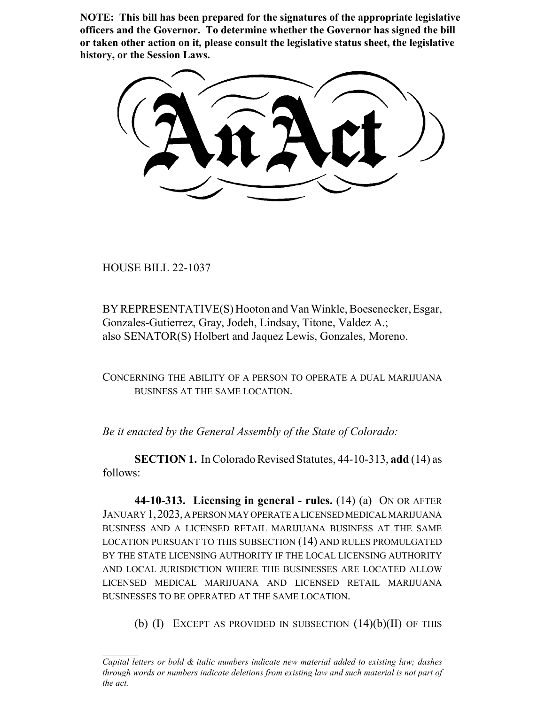**NOTE: This bill has been prepared for the signatures of the appropriate legislative officers and the Governor. To determine whether the Governor has signed the bill or taken other action on it, please consult the legislative status sheet, the legislative history, or the Session Laws.**

HOUSE BILL 22-1037

BY REPRESENTATIVE(S) Hooton and Van Winkle, Boesenecker, Esgar, Gonzales-Gutierrez, Gray, Jodeh, Lindsay, Titone, Valdez A.; also SENATOR(S) Holbert and Jaquez Lewis, Gonzales, Moreno.

CONCERNING THE ABILITY OF A PERSON TO OPERATE A DUAL MARIJUANA BUSINESS AT THE SAME LOCATION.

*Be it enacted by the General Assembly of the State of Colorado:*

**SECTION 1.** In Colorado Revised Statutes, 44-10-313, **add** (14) as follows:

**44-10-313. Licensing in general - rules.** (14) (a) ON OR AFTER JANUARY 1,2023, A PERSON MAY OPERATE A LICENSED MEDICAL MARIJUANA BUSINESS AND A LICENSED RETAIL MARIJUANA BUSINESS AT THE SAME LOCATION PURSUANT TO THIS SUBSECTION (14) AND RULES PROMULGATED BY THE STATE LICENSING AUTHORITY IF THE LOCAL LICENSING AUTHORITY AND LOCAL JURISDICTION WHERE THE BUSINESSES ARE LOCATED ALLOW LICENSED MEDICAL MARIJUANA AND LICENSED RETAIL MARIJUANA BUSINESSES TO BE OPERATED AT THE SAME LOCATION.

(b)  $(I)$  EXCEPT AS PROVIDED IN SUBSECTION  $(14)(b)(II)$  OF THIS

*Capital letters or bold & italic numbers indicate new material added to existing law; dashes through words or numbers indicate deletions from existing law and such material is not part of the act.*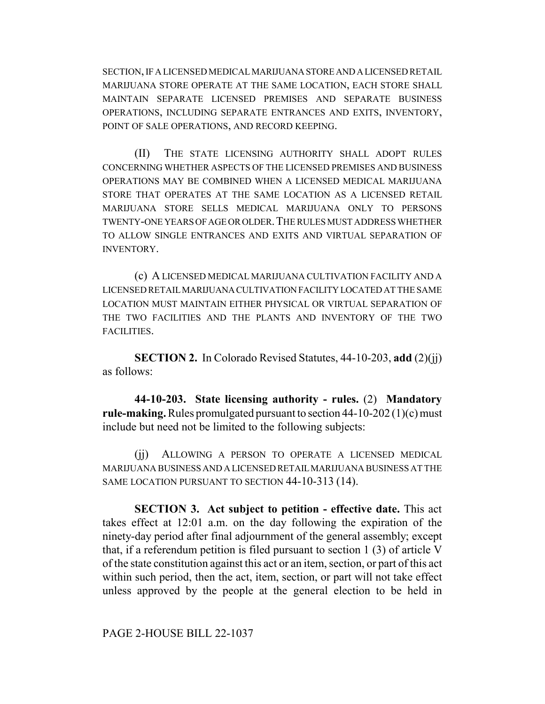SECTION, IF A LICENSED MEDICAL MARIJUANA STORE AND A LICENSED RETAIL MARIJUANA STORE OPERATE AT THE SAME LOCATION, EACH STORE SHALL MAINTAIN SEPARATE LICENSED PREMISES AND SEPARATE BUSINESS OPERATIONS, INCLUDING SEPARATE ENTRANCES AND EXITS, INVENTORY, POINT OF SALE OPERATIONS, AND RECORD KEEPING.

(II) THE STATE LICENSING AUTHORITY SHALL ADOPT RULES CONCERNING WHETHER ASPECTS OF THE LICENSED PREMISES AND BUSINESS OPERATIONS MAY BE COMBINED WHEN A LICENSED MEDICAL MARIJUANA STORE THAT OPERATES AT THE SAME LOCATION AS A LICENSED RETAIL MARIJUANA STORE SELLS MEDICAL MARIJUANA ONLY TO PERSONS TWENTY-ONE YEARS OF AGE OR OLDER. THE RULES MUST ADDRESS WHETHER TO ALLOW SINGLE ENTRANCES AND EXITS AND VIRTUAL SEPARATION OF INVENTORY.

(c) A LICENSED MEDICAL MARIJUANA CULTIVATION FACILITY AND A LICENSED RETAIL MARIJUANA CULTIVATION FACILITY LOCATED AT THE SAME LOCATION MUST MAINTAIN EITHER PHYSICAL OR VIRTUAL SEPARATION OF THE TWO FACILITIES AND THE PLANTS AND INVENTORY OF THE TWO FACILITIES.

**SECTION 2.** In Colorado Revised Statutes, 44-10-203, **add** (2)(jj) as follows:

**44-10-203. State licensing authority - rules.** (2) **Mandatory rule-making.** Rules promulgated pursuant to section 44-10-202 (1)(c) must include but need not be limited to the following subjects:

(jj) ALLOWING A PERSON TO OPERATE A LICENSED MEDICAL MARIJUANA BUSINESS AND A LICENSED RETAIL MARIJUANA BUSINESS AT THE SAME LOCATION PURSUANT TO SECTION 44-10-313 (14).

**SECTION 3. Act subject to petition - effective date.** This act takes effect at 12:01 a.m. on the day following the expiration of the ninety-day period after final adjournment of the general assembly; except that, if a referendum petition is filed pursuant to section 1 (3) of article V of the state constitution against this act or an item, section, or part of this act within such period, then the act, item, section, or part will not take effect unless approved by the people at the general election to be held in

PAGE 2-HOUSE BILL 22-1037